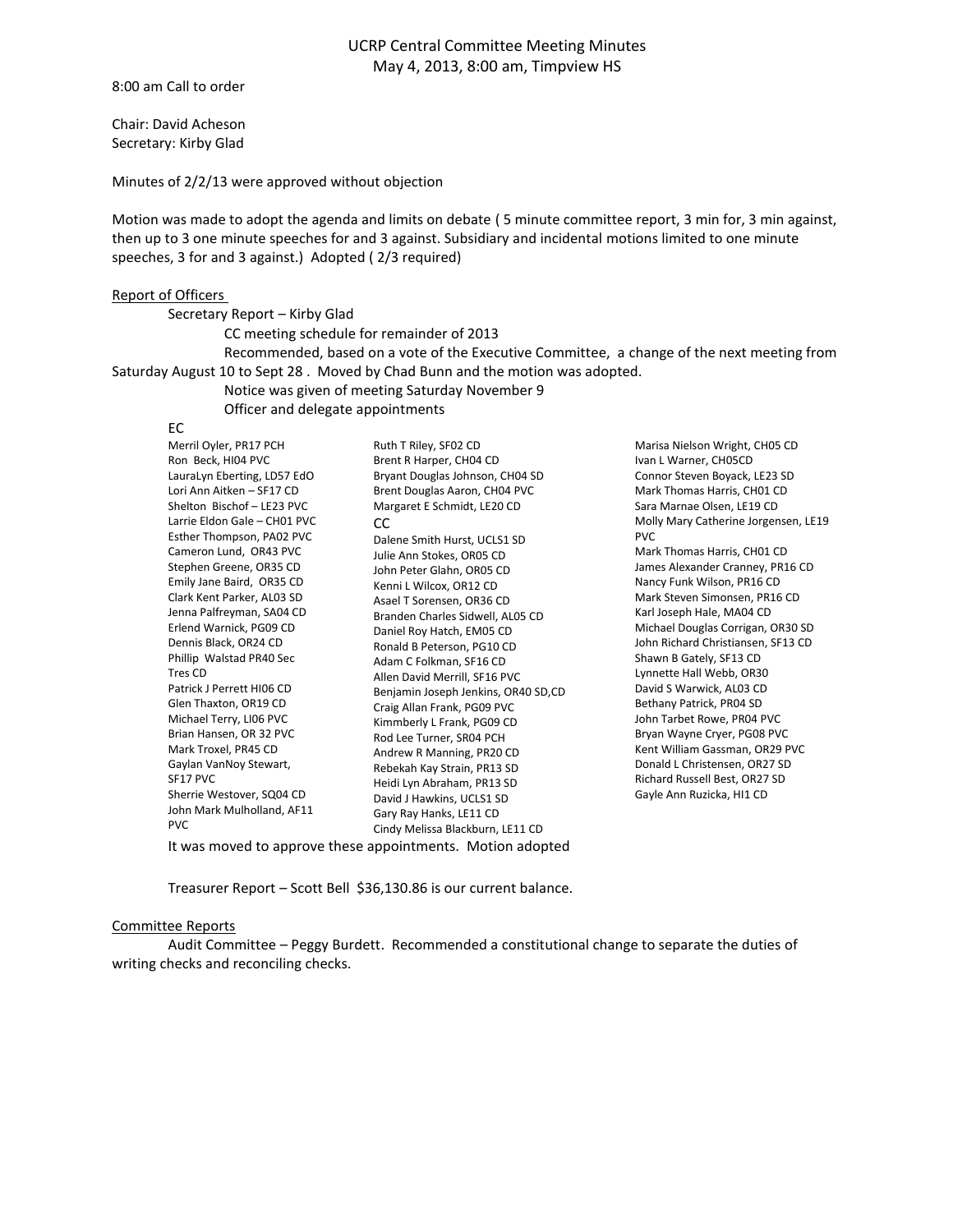# UCRP Central Committee Meeting Minutes May 4, 2013, 8:00 am, Timpview HS

8:00 am Call to order

Chair: David Acheson Secretary: Kirby Glad

Minutes of 2/2/13 were approved without objection

Motion was made to adopt the agenda and limits on debate ( 5 minute committee report, 3 min for, 3 min against, then up to 3 one minute speeches for and 3 against. Subsidiary and incidental motions limited to one minute speeches, 3 for and 3 against.) Adopted ( 2/3 required)

#### Report of Officers

#### Secretary Report – Kirby Glad

CC meeting schedule for remainder of 2013

Recommended, based on a vote of the Executive Committee, a change of the next meeting from Saturday August 10 to Sept 28 . Moved by Chad Bunn and the motion was adopted.

Notice was given of meeting Saturday November 9

Officer and delegate appointments

## EC

| Merril Oyler, PR17 PCH                                     | Ruth T Riley, SF02 CD               |
|------------------------------------------------------------|-------------------------------------|
| Ron Beck, HI04 PVC                                         | Brent R Harper, CH04 CD             |
| LauraLyn Eberting, LD57 EdO                                | Bryant Douglas Johnson, CH04 SD     |
| Lori Ann Aitken - SF17 CD                                  | Brent Douglas Aaron, CH04 PVC       |
| Shelton Bischof - LE23 PVC                                 | Margaret E Schmidt, LE20 CD         |
| Larrie Eldon Gale - CH01 PVC                               | CC                                  |
| Esther Thompson, PA02 PVC                                  | Dalene Smith Hurst, UCLS1 SD        |
| Cameron Lund, OR43 PVC                                     | Julie Ann Stokes, OR05 CD           |
| Stephen Greene, OR35 CD                                    | John Peter Glahn, OR05 CD           |
| Emily Jane Baird, OR35 CD                                  | Kenni L Wilcox, OR12 CD             |
| Clark Kent Parker, AL03 SD                                 | Asael T Sorensen, OR36 CD           |
| Jenna Palfreyman, SA04 CD                                  | Branden Charles Sidwell, AL05 CD    |
| Erlend Warnick, PG09 CD                                    | Daniel Roy Hatch, EM05 CD           |
| Dennis Black, OR24 CD                                      | Ronald B Peterson, PG10 CD          |
| Phillip Walstad PR40 Sec                                   | Adam C Folkman, SF16 CD             |
| Tres CD                                                    | Allen David Merrill, SF16 PVC       |
| Patrick J Perrett HI06 CD                                  | Benjamin Joseph Jenkins, OR40 SD,CD |
| Glen Thaxton, OR19 CD                                      | Craig Allan Frank, PG09 PVC         |
| Michael Terry, LI06 PVC                                    | Kimmberly L Frank, PG09 CD          |
| Brian Hansen, OR 32 PVC                                    | Rod Lee Turner, SR04 PCH            |
| Mark Troxel, PR45 CD                                       | Andrew R Manning, PR20 CD           |
| Gaylan VanNoy Stewart,                                     | Rebekah Kay Strain, PR13 SD         |
| SF17 PVC                                                   | Heidi Lyn Abraham, PR13 SD          |
| Sherrie Westover, SQ04 CD                                  | David J Hawkins, UCLS1 SD           |
| John Mark Mulholland, AF11                                 | Gary Ray Hanks, LE11 CD             |
| <b>PVC</b>                                                 | Cindy Melissa Blackburn, LE11 CD    |
| It was moved to approve these appointments. Motion adopted |                                     |

Marisa Nielson Wright, CH05 CD Ivan L Warner, CH05CD Connor Steven Boyack, LE23 SD Mark Thomas Harris, CH01 CD Sara Marnae Olsen, LE19 CD Molly Mary Catherine Jorgensen, LE19 PVC Mark Thomas Harris, CH01 CD James Alexander Cranney, PR16 CD Nancy Funk Wilson, PR16 CD Mark Steven Simonsen, PR16 CD

Karl Joseph Hale, MA04 CD Michael Douglas Corrigan, OR30 SD John Richard Christiansen, SF13 CD Shawn B Gately, SF13 CD Lynnette Hall Webb, OR30 David S Warwick, AL03 CD Bethany Patrick, PR04 SD John Tarbet Rowe, PR04 PVC Bryan Wayne Cryer, PG08 PVC Kent William Gassman, OR29 PVC Donald L Christensen, OR27 SD Richard Russell Best, OR27 SD Gayle Ann Ruzicka, HI1 CD

Treasurer Report – Scott Bell \$36,130.86 is our current balance.

#### Committee Reports

Audit Committee – Peggy Burdett. Recommended a constitutional change to separate the duties of writing checks and reconciling checks.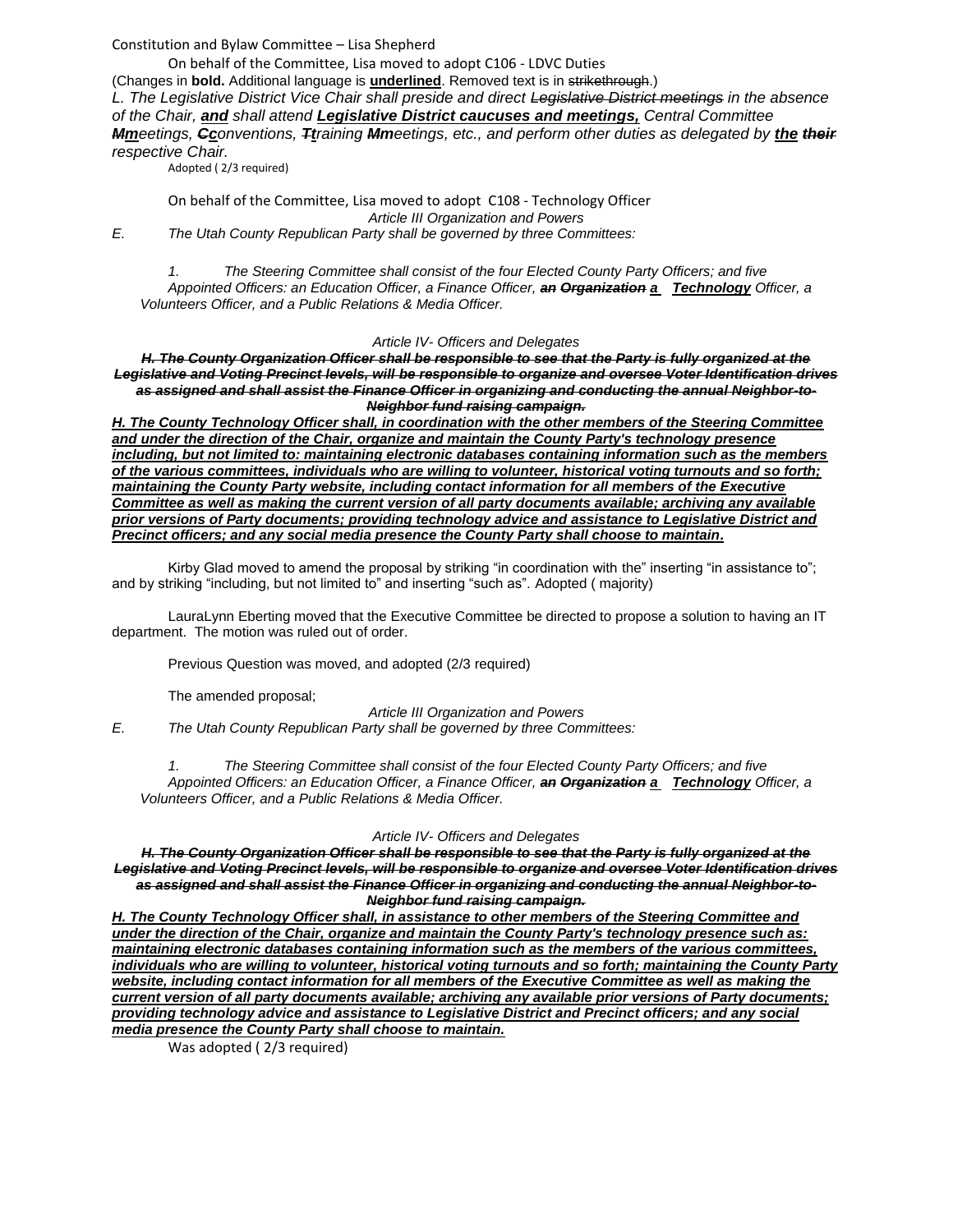Constitution and Bylaw Committee – Lisa Shepherd

On behalf of the Committee, Lisa moved to adopt C106 - LDVC Duties

(Changes in **bold.** Additional language is **underlined**. Removed text is in strikethrough.)

*L. The Legislative District Vice Chair shall preside and direct Legislative District meetings in the absence of the Chair, and shall attend Legislative District caucuses and meetings, Central Committee Mmeetings, Cconventions, Ttraining Mmeetings, etc., and perform other duties as delegated by the their respective Chair.*

Adopted ( 2/3 required)

On behalf of the Committee, Lisa moved to adopt C108 - Technology Officer *Article III Organization and Powers E. The Utah County Republican Party shall be governed by three Committees:*

*1. The Steering Committee shall consist of the four Elected County Party Officers; and five Appointed Officers: an Education Officer, a Finance Officer, an Organization a Technology Officer, a Volunteers Officer, and a Public Relations & Media Officer.*

## *Article IV- Officers and Delegates*

*H. The County Organization Officer shall be responsible to see that the Party is fully organized at the Legislative and Voting Precinct levels, will be responsible to organize and oversee Voter Identification drives as assigned and shall assist the Finance Officer in organizing and conducting the annual Neighbor-to-Neighbor fund raising campaign.*

*H. The County Technology Officer shall, in coordination with the other members of the Steering Committee and under the direction of the Chair, organize and maintain the County Party's technology presence including, but not limited to: maintaining electronic databases containing information such as the members of the various committees, individuals who are willing to volunteer, historical voting turnouts and so forth; maintaining the County Party website, including contact information for all members of the Executive Committee as well as making the current version of all party documents available; archiving any available prior versions of Party documents; providing technology advice and assistance to Legislative District and Precinct officers; and any social media presence the County Party shall choose to maintain.*

Kirby Glad moved to amend the proposal by striking "in coordination with the" inserting "in assistance to"; and by striking "including, but not limited to" and inserting "such as". Adopted ( majority)

LauraLynn Eberting moved that the Executive Committee be directed to propose a solution to having an IT department. The motion was ruled out of order.

Previous Question was moved, and adopted (2/3 required)

The amended proposal;

*Article III Organization and Powers*

*E. The Utah County Republican Party shall be governed by three Committees:*

*1. The Steering Committee shall consist of the four Elected County Party Officers; and five Appointed Officers: an Education Officer, a Finance Officer, an Organization a Technology Officer, a Volunteers Officer, and a Public Relations & Media Officer.*

## *Article IV- Officers and Delegates*

*H. The County Organization Officer shall be responsible to see that the Party is fully organized at the Legislative and Voting Precinct levels, will be responsible to organize and oversee Voter Identification drives as assigned and shall assist the Finance Officer in organizing and conducting the annual Neighbor-to-Neighbor fund raising campaign.*

*H. The County Technology Officer shall, in assistance to other members of the Steering Committee and under the direction of the Chair, organize and maintain the County Party's technology presence such as: maintaining electronic databases containing information such as the members of the various committees, individuals who are willing to volunteer, historical voting turnouts and so forth; maintaining the County Party website, including contact information for all members of the Executive Committee as well as making the current version of all party documents available; archiving any available prior versions of Party documents; providing technology advice and assistance to Legislative District and Precinct officers; and any social media presence the County Party shall choose to maintain.*

Was adopted (2/3 required)